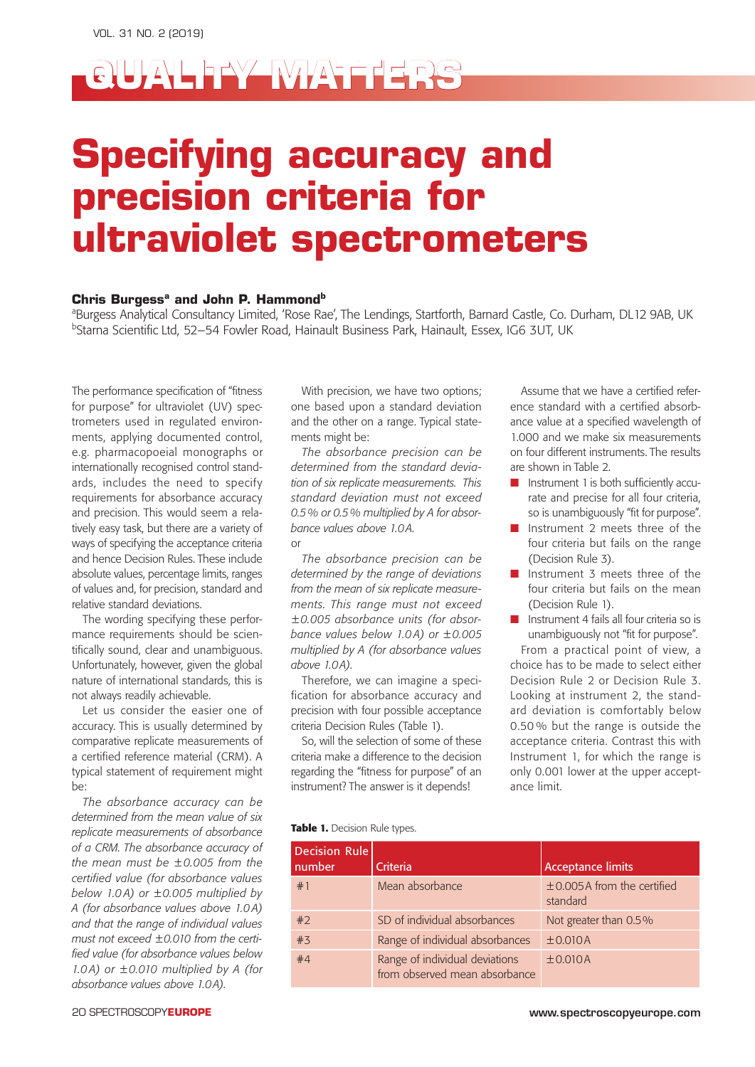# **Specifying accuracy and precision criteria for ultraviolet spectrometers**

#### **Chris Burgess<sup>a</sup> and John P. Hammond<sup>b</sup>**

aBurgess Analytical Consultancy Limited, 'Rose Rae', The Lendings, Startforth, Barnard Castle, Co. Durham, DL12 9AB, UK b Starna Scientific Ltd, 52–54 Fowler Road, Hainault Business Park, Hainault, Essex, IG6 3UT, UK

The performance specification of "fitness for purpose" for ultraviolet (UV) spectrometers used in regulated environments, applying documented control, e.g. pharmacopoeial monographs or internationally recognised control standards, includes the need to specify requirements for absorbance accuracy and precision. This would seem a relatively easy task, but there are a variety of ways of specifying the acceptance criteria and hence Decision Rules. These include absolute values, percentage limits, ranges of values and, for precision, standard and relative standard deviations.

The wording specifying these performance requirements should be scientifically sound, clear and unambiguous. Unfortunately, however, given the global nature of international standards, this is not always readily achievable.

Let us consider the easier one of accuracy. This is usually determined by comparative replicate measurements of a certified reference material (CRM). A typical statement of requirement might be:

*The absorbance accuracy can be determined from the mean value of six replicate measurements of absorbance of a CRM. The absorbance accuracy of the mean must be ± 0.005 from the certified value (for absorbance values below 1.0 A) or ± 0.005 multiplied by A (for absorbance values above 1.0 A) and that the range of individual values must not exceed ±0.010 from the certified value (for absorbance values below 1.0 A) or ± 0.010 multiplied by A (for absorbance values above 1.0A).*

With precision, we have two options; one based upon a standard deviation and the other on a range. Typical statements might be:

*The absorbance precision can be determined from the standard deviation of six replicate measurements. This standard deviation must not exceed 0.5% or 0.5% multiplied by A for absorbance values above 1.0A.* or

*The absorbance precision can be determined by the range of deviations from the mean of six replicate measurements. This range must not exceed ± 0.005 absorbance units (for absorbance values below 1.0 A) or ± 0.005 multiplied by A (for absorbance values above 1.0A).*

Therefore, we can imagine a specification for absorbance accuracy and precision with four possible acceptance criteria Decision Rules (Table 1).

So, will the selection of some of these criteria make a difference to the decision regarding the "fitness for purpose" of an instrument? The answer is it depends!

Assume that we have a certified reference standard with a certified absorbance value at a specified wavelength of 1.000 and we make six measurements on four different instruments. The results are shown in Table 2.

- Instrument 1 is both sufficiently accurate and precise for all four criteria, so is unambiguously "fit for purpose".
- Instrument 2 meets three of the four criteria but fails on the range (Decision Rule 3).
- Instrument 3 meets three of the four criteria but fails on the mean (Decision Rule 1).
- Instrument 4 fails all four criteria so is unambiguously not "fit for purpose".

From a practical point of view, a choice has to be made to select either Decision Rule 2 or Decision Rule 3. Looking at instrument 2, the standard deviation is comfortably below 0.50 % but the range is outside the acceptance criteria. Contrast this with Instrument 1, for which the range is only 0.001 lower at the upper acceptance limit.

#### **Table 1.** Decision Rule types.

| <b>Decision Rule</b><br>number | Criteria                                                        | <b>Acceptance limits</b>                    |
|--------------------------------|-----------------------------------------------------------------|---------------------------------------------|
| #1                             | Mean absorbance                                                 | $\pm$ 0.005A from the certified<br>standard |
| #2                             | SD of individual absorbances                                    | Not greater than 0.5%                       |
| #3                             | Range of individual absorbances                                 | ±0.010A                                     |
| #4                             | Range of individual deviations<br>from observed mean absorbance | ±0.010A                                     |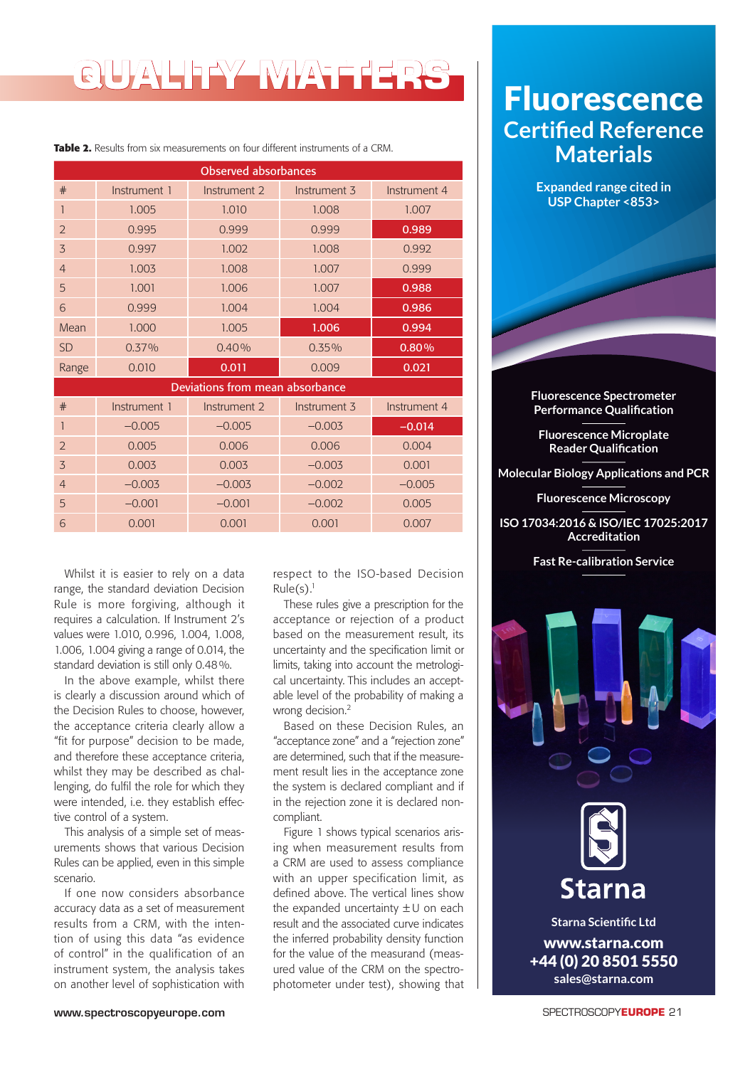**Table 2.** Results from six measurements on four different instruments of a CRM.

| <b>Observed absorbances</b> |              |                                 |              |              |  |  |
|-----------------------------|--------------|---------------------------------|--------------|--------------|--|--|
| #                           | Instrument 1 | Instrument 2                    | Instrument 3 | Instrument 4 |  |  |
| 1                           | 1.005        | 1.010                           | 1.008        | 1.007        |  |  |
| $\overline{2}$              | 0.995        | 0.999                           | 0.999        | 0.989        |  |  |
| 3                           | 0.997        | 1.002                           | 1.008        | 0.992        |  |  |
| $\overline{4}$              | 1.003        | 1.008                           | 1.007        | 0.999        |  |  |
| 5                           | 1.001        | 1.006                           | 1.007        | 0.988        |  |  |
| 6                           | 0.999        | 1.004                           | 1.004        | 0.986        |  |  |
| Mean                        | 1.000        | 1.005                           | 1.006        | 0.994        |  |  |
| <b>SD</b>                   | 0.37%        | 0.40%                           | $0.35\%$     | 0.80%        |  |  |
| Range                       | 0.010        | 0.011                           | 0.009        | 0.021        |  |  |
|                             |              | Deviations from mean absorbance |              |              |  |  |
| #                           | Instrument 1 | Instrument 2                    | Instrument 3 | Instrument 4 |  |  |
| 1                           | $-0.005$     | $-0.005$                        | $-0.003$     | $-0.014$     |  |  |
| $\overline{2}$              | 0.005        | 0.006                           | 0.006        | 0.004        |  |  |
| 3                           | 0.003        | 0.003                           | $-0.003$     | 0.001        |  |  |
| $\overline{4}$              | $-0.003$     | $-0.003$                        | $-0.002$     | $-0.005$     |  |  |
| 5                           | $-0.001$     | $-0.001$                        | $-0.002$     | 0.005        |  |  |
| 6                           | 0.001        | 0.001                           | 0.001        | 0.007        |  |  |

Whilst it is easier to rely on a data range, the standard deviation Decision Rule is more forgiving, although it requires a calculation. If Instrument 2's values were 1.010, 0.996, 1.004, 1.008, 1.006, 1.004 giving a range of 0.014, the standard deviation is still only 0.48%.

In the above example, whilst there is clearly a discussion around which of the Decision Rules to choose, however, the acceptance criteria clearly allow a "fit for purpose" decision to be made, and therefore these acceptance criteria, whilst they may be described as challenging, do fulfil the role for which they were intended, i.e. they establish effective control of a system.

This analysis of a simple set of measurements shows that various Decision Rules can be applied, even in this simple scenario.

If one now considers absorbance accuracy data as a set of measurement results from a CRM, with the intention of using this data "as evidence of control" in the qualification of an instrument system, the analysis takes on another level of sophistication with

respect to the ISO-based Decision  $Rule(s).<sup>1</sup>$ 

These rules give a prescription for the acceptance or rejection of a product based on the measurement result, its uncertainty and the specification limit or limits, taking into account the metrological uncertainty. This includes an acceptable level of the probability of making a wrong decision.<sup>2</sup>

Based on these Decision Rules, an "acceptance zone" and a "rejection zone" are determined, such that if the measurement result lies in the acceptance zone the system is declared compliant and if in the rejection zone it is declared noncompliant.

Figure 1 shows typical scenarios arising when measurement results from a CRM are used to assess compliance with an upper specification limit, as defined above. The vertical lines show the expanded uncertainty ±U on each result and the associated curve indicates the inferred probability density function for the value of the measurand (measured value of the CRM on the spectrophotometer under test), showing that

### **Fluorescence Certified Reference Materials**

**Expanded range cited in USP Chapter <853>**

**Fluorescence Spectrometer Performance Qualification Fluorescence Microplate Reader Qualification Molecular Biology Applications and PCR Fluorescence Microscopy ISO 17034:2016 & ISO/IEC 17025:2017 Accreditation Fast Re-calibration Service** Starna **Starna Scientific Ltd** www.starna.com +44 (0) 20 8501 5550

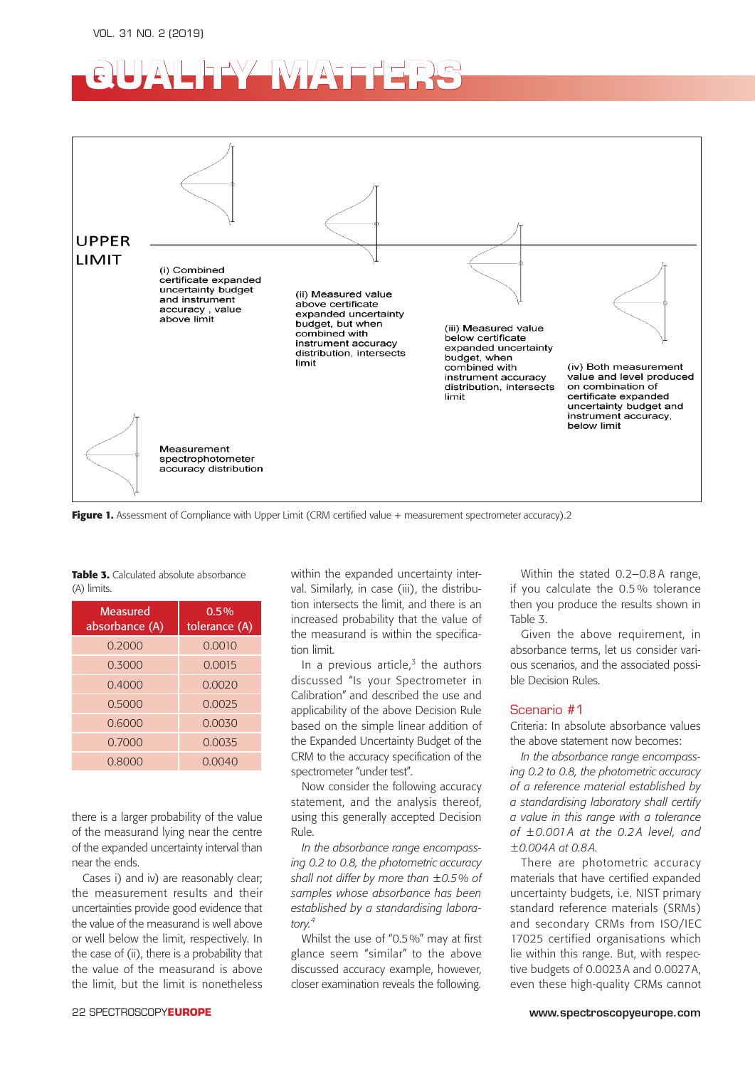

Figure 1. Assessment of Compliance with Upper Limit (CRM certified value + measurement spectrometer accuracy).2

| Measured<br>absorbance (A) | $0.5\%$<br>tolerance (A) |  |
|----------------------------|--------------------------|--|
| 0.2000                     | 0.0010                   |  |
| 0.3000                     | 0.0015                   |  |
| 0.4000                     | 0.0020                   |  |
| 0.5000                     | 0.0025                   |  |
| 0.6000                     | 0.0030                   |  |
| 0.7000                     | 0.0035                   |  |
| 0.8000                     | 0.0040                   |  |

**Table 3.** Calculated absolute absorbance

 $(\Delta)$  limits

there is a larger probability of the value of the measurand lying near the centre of the expanded uncertainty interval than near the ends.

Cases i) and iv) are reasonably clear; the measurement results and their uncertainties provide good evidence that the value of the measurand is well above or well below the limit, respectively. In the case of (ii), there is a probability that the value of the measurand is above the limit, but the limit is nonetheless

within the expanded uncertainty interval. Similarly, in case (iii), the distribution intersects the limit, and there is an increased probability that the value of the measurand is within the specification limit.

In a previous article, $3$  the authors discussed "Is your Spectrometer in Calibration" and described the use and applicability of the above Decision Rule based on the simple linear addition of the Expanded Uncertainty Budget of the CRM to the accuracy specification of the spectrometer "under test".

Now consider the following accuracy statement, and the analysis thereof, using this generally accepted Decision Rule.

*In the absorbance range encompassing 0.2 to 0.8, the photometric accuracy shall not differ by more than ±0.5% of samples whose absorbance has been established by a standardising laboratory.4*

Whilst the use of "0.5%" may at first glance seem "similar" to the above discussed accuracy example, however, closer examination reveals the following.

Within the stated 0.2–0.8 A range, if you calculate the 0.5 % tolerance then you produce the results shown in Table 3.

Given the above requirement, in absorbance terms, let us consider various scenarios, and the associated possible Decision Rules.

#### Scenario #1

Criteria: In absolute absorbance values the above statement now becomes:

*In the absorbance range encompassing 0.2 to 0.8, the photometric accuracy of a reference material established by a standardising laboratory shall certify a value in this range with a tolerance of ± 0.001A at the 0.2A level, and ±0.004A at 0.8A.*

There are photometric accuracy materials that have certified expanded uncertainty budgets, i.e. NIST primary standard reference materials (SRMs) and secondary CRMs from ISO/IEC 17025 certified organisations which lie within this range. But, with respective budgets of 0.0023A and 0.0027A, even these high-quality CRMs cannot